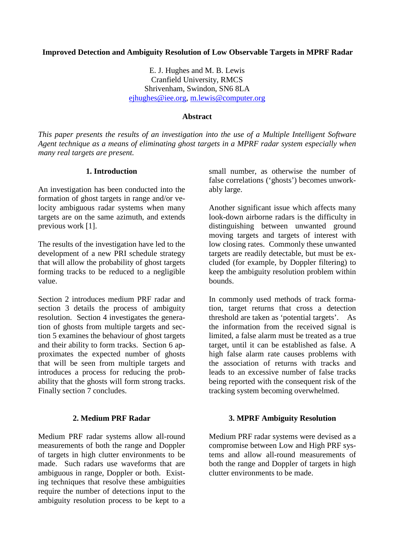### **Improved Detection and Ambiguity Resolution of Low Observable Targets in MPRF Radar**

E. J. Hughes and M. B. Lewis Cranfield University, RMCS Shrivenham, Swindon, SN6 8LA ejhughes@iee.org, m.lewis@computer.org

#### **Abstract**

*This paper presents the results of an investigation into the use of a Multiple Intelligent Software Agent technique as a means of eliminating ghost targets in a MPRF radar system especially when many real targets are present.* 

#### **1. Introduction**

An investigation has been conducted into the formation of ghost targets in range and/or velocity ambiguous radar systems when many targets are on the same azimuth, and extends previous work [1].

The results of the investigation have led to the development of a new PRI schedule strategy that will allow the probability of ghost targets forming tracks to be reduced to a negligible value.

Section 2 introduces medium PRF radar and section 3 details the process of ambiguity resolution. Section 4 investigates the generation of ghosts from multiple targets and section 5 examines the behaviour of ghost targets and their ability to form tracks. Section 6 approximates the expected number of ghosts that will be seen from multiple targets and introduces a process for reducing the probability that the ghosts will form strong tracks. Finally section 7 concludes.

#### **2. Medium PRF Radar**

Medium PRF radar systems allow all-round measurements of both the range and Doppler of targets in high clutter environments to be made. Such radars use waveforms that are ambiguous in range, Doppler or both. Existing techniques that resolve these ambiguities require the number of detections input to the ambiguity resolution process to be kept to a small number, as otherwise the number of false correlations ('ghosts') becomes unworkably large.

Another significant issue which affects many look-down airborne radars is the difficulty in distinguishing between unwanted ground moving targets and targets of interest with low closing rates. Commonly these unwanted targets are readily detectable, but must be excluded (for example, by Doppler filtering) to keep the ambiguity resolution problem within bounds.

In commonly used methods of track formation, target returns that cross a detection threshold are taken as 'potential targets'. As the information from the received signal is limited, a false alarm must be treated as a true target, until it can be established as false. A high false alarm rate causes problems with the association of returns with tracks and leads to an excessive number of false tracks being reported with the consequent risk of the tracking system becoming overwhelmed.

#### **3. MPRF Ambiguity Resolution**

Medium PRF radar systems were devised as a compromise between Low and High PRF systems and allow all-round measurements of both the range and Doppler of targets in high clutter environments to be made.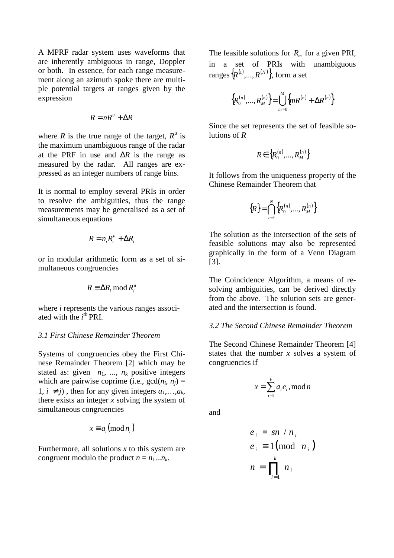A MPRF radar system uses waveforms that are inherently ambiguous in range, Doppler or both. In essence, for each range measurement along an azimuth spoke there are multiple potential targets at ranges given by the expression

$$
R = nR^u + \Delta R
$$

where *R* is the true range of the target,  $R^u$  is the maximum unambiguous range of the radar at the PRF in use and ∆*R* is the range as measured by the radar. All ranges are expressed as an integer numbers of range bins.

It is normal to employ several PRIs in order to resolve the ambiguities, thus the range measurements may be generalised as a set of simultaneous equations

$$
R=n_i R_i^u+\Delta R_i
$$

or in modular arithmetic form as a set of simultaneous congruencies

$$
R \equiv \Delta R_i \bmod R_i^u
$$

where *i* represents the various ranges associated with the *i th* PRI.

#### *3.1 First Chinese Remainder Theorem*

Systems of congruencies obey the First Chinese Remainder Theorem [2] which may be stated as: given  $n_1$ , ...,  $n_k$  positive integers which are pairwise coprime (i.e.,  $gcd(n_i, n_j) =$ 1,  $i ≠ j$ ), then for any given integers  $a_1, \ldots, a_k$ , there exists an integer *x* solving the system of simultaneous congruencies

$$
x \equiv a_i \pmod{n_i}
$$

Furthermore, all solutions  $x$  to this system are congruent modulo the product  $n = n_1...n_k$ .

The feasible solutions for  $R_m$  for a given PRI, in a set of PRIs with unambiguous ranges  ${R^{(1)},...,R^{(N)}}$ , form a set

$$
\left\{ R_0^{(n)},...,R_M^{(n)} \right\} = \bigcup_{m=0}^M \left\{ mR^{(n)} + \Delta R^{(n)} \right\}
$$

Since the set represents the set of feasible solutions of *R* 

$$
R \in \left\{ R_0^{(n)},...,R_M^{(n)} \right\}
$$

It follows from the uniqueness property of the Chinese Remainder Theorem that

$$
{R} = \bigcap_{n=1}^{N} {R_0^{(n)},..., R_M^{(n)}}
$$

The solution as the intersection of the sets of feasible solutions may also be represented graphically in the form of a Venn Diagram [3].

The Coincidence Algorithm, a means of resolving ambiguities, can be derived directly from the above. The solution sets are generated and the intersection is found.

## *3.2 The Second Chinese Remainder Theorem*

The Second Chinese Remainder Theorem [4] states that the number *x* solves a system of congruencies if

$$
x = \sum_{i=1}^{k} a_i e_i, \text{mod } n
$$

and

$$
e_i = \frac{sn}{n_i}
$$
  
\n
$$
e_i \equiv 1 \pmod{n_i}
$$
  
\n
$$
n = \prod_{i=1}^k n_i
$$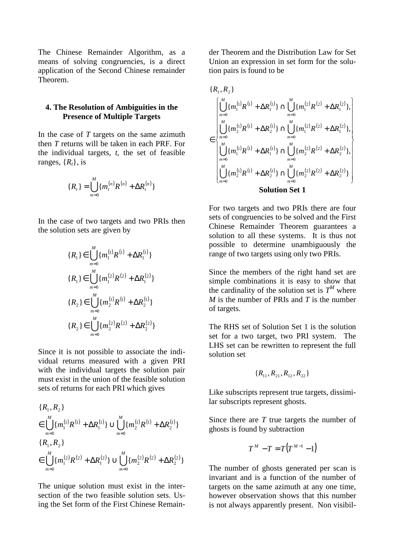The Chinese Remainder Algorithm, as a means of solving congruencies, is a direct application of the Second Chinese remainder Theorem.

## **4. The Resolution of Ambiguities in the Presence of Multiple Targets**

In the case of *T* targets on the same azimuth then *T* returns will be taken in each PRF. For the individual targets, *t*, the set of feasible ranges,  $\{R_t\}$ , is

$$
\{R_t\} = \bigcup_{m=0}^{M} \{m_t^{(n)}R^{(n)} + \Delta R_t^{(n)}\}\
$$

In the case of two targets and two PRIs then the solution sets are given by

$$
{R_1} \in \bigcup_{m=0}^{M} {m_1^{(1)}R^{(1)} + \Delta R_1^{(1)}}
$$
  
\n
$$
{R_1} \in \bigcup_{m=0}^{M} {m_1^{(2)}R^{(2)} + \Delta R_1^{(2)}}
$$
  
\n
$$
{R_2} \in \bigcup_{m=0}^{M} {m_2^{(1)}R^{(1)} + \Delta R_2^{(1)}}
$$
  
\n
$$
{R_2} \in \bigcup_{m=0}^{M} {m_2^{(2)}R^{(2)} + \Delta R_2^{(2)}}
$$

Since it is not possible to associate the individual returns measured with a given PRI with the individual targets the solution pair must exist in the union of the feasible solution sets of returns for each PRI which gives

$$
{R_1, R_2}
$$
  
\n
$$
\in \bigcup_{m=0}^{M} \{m_1^{(1)}R^{(1)} + \Delta R_1^{(1)}\} \cup \bigcup_{m=0}^{M} \{m_2^{(1)}R^{(1)} + \Delta R_2^{(1)}\}
$$
  
\n
$$
{R_1, R_2}
$$
  
\n
$$
\in \bigcup_{m=0}^{M} \{m_1^{(2)}R^{(2)} + \Delta R_1^{(2)}\} \cup \bigcup_{m=0}^{M} \{m_2^{(2)}R^{(2)} + \Delta R_2^{(2)}\}
$$

The unique solution must exist in the intersection of the two feasible solution sets. Using the Set form of the First Chinese Remainder Theorem and the Distribution Law for Set Union an expression in set form for the solution pairs is found to be

$$
\{R_1, R_2\}
$$
\n
$$
\in \left[\bigcup_{m=0}^M \{m_1^{(1)}R^{(1)} + \Delta R_1^{(1)}\} \cap \bigcup_{m=0}^M \{m_1^{(2)}R^{(2)} + \Delta R_1^{(2)}\},\right]
$$
\n
$$
\in \left[\bigcup_{m=0}^M \{m_2^{(1)}R^{(1)} + \Delta R_2^{(1)}\} \cap \bigcup_{m=0}^M \{m_1^{(2)}R^{(2)} + \Delta R_1^{(2)}\},\right]
$$
\n
$$
\left[\bigcup_{m=0}^M \{m_1^{(1)}R^{(1)} + \Delta R_1^{(1)}\} \cap \bigcup_{m=0}^M \{m_2^{(2)}R^{(2)} + \Delta R_2^{(2)}\},\right]
$$
\nSolution Set 1

For two targets and two PRIs there are four sets of congruencies to be solved and the First Chinese Remainder Theorem guarantees a solution to all these systems. It is thus not possible to determine unambiguously the range of two targets using only two PRIs.

Since the members of the right hand set are simple combinations it is easy to show that the cardinality of the solution set is  $T^M$  where *M* is the number of PRIs and *T* is the number of targets.

The RHS set of Solution Set 1 is the solution set for a two target, two PRI system. The LHS set can be rewritten to represent the full solution set

$$
\{R_{11}, R_{21}, R_{12}, R_{22}\}
$$

Like subscripts represent true targets, dissimilar subscripts represent ghosts.

Since there are *T* true targets the number of ghosts is found by subtraction

$$
T^M - T = T(T^{M-1} - 1)
$$

The number of ghosts generated per scan is invariant and is a function of the number of targets on the same azimuth at any one time, however observation shows that this number is not always apparently present. Non visibil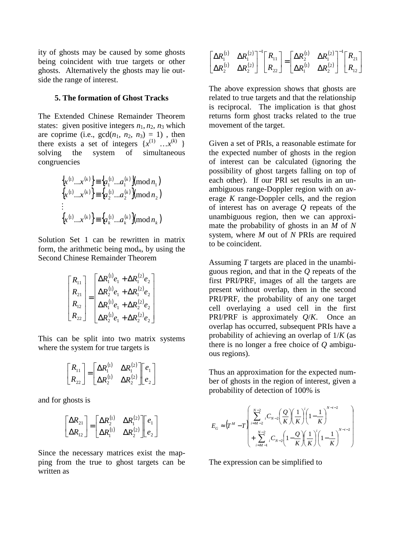ity of ghosts may be caused by some ghosts being coincident with true targets or other ghosts. Alternatively the ghosts may lie outside the range of interest.

## **5. The formation of Ghost Tracks**

The Extended Chinese Remainder Theorem states: given positive integers  $n_1$ ,  $n_2$ ,  $n_3$  which are coprime (i.e.,  $gcd(n_1, n_2, n_3) = 1)$ , then there exists a set of integers  $\{x^{(1)} \dots x^{(k)}\}$ solving the system of simultaneous congruencies

$$
\begin{aligned} \left\{ x^{(1)}...x^{(k)} \right\} & \equiv \left\{ a_1^{(1)}...a_1^{(k)} \right\} \text{mod } n_1 \\ \left\{ x^{(1)}...x^{(k)} \right\} & \equiv \left\{ a_2^{(1)}...a_2^{(k)} \right\} \text{mod } n_2 \\ &\vdots \\ \left\{ x^{(1)}...x^{(k)} \right\} &\equiv \left\{ a_k^{(1)}...a_k^{(k)} \right\} \text{mod } n_k \end{aligned}
$$

Solution Set 1 can be rewritten in matrix form, the arithmetic being mod*n*, by using the Second Chinese Remainder Theorem

$$
\begin{bmatrix} R_{11} \\ R_{21} \\ R_{12} \\ R_{22} \end{bmatrix} = \begin{bmatrix} \Delta R_1^{(1)} e_1 + \Delta R_1^{(2)} e_2 \\ \Delta R_2^{(1)} e_1 + \Delta R_1^{(2)} e_2 \\ \Delta R_1^{(1)} e_1 + \Delta R_2^{(2)} e_2 \\ \Delta R_2^{(1)} e_1 + \Delta R_2^{(2)} e_2 \end{bmatrix}
$$

This can be split into two matrix systems where the system for true targets is

$$
\begin{bmatrix} R_{11} \\ R_{22} \end{bmatrix} = \begin{bmatrix} \Delta R_1^{(1)} & \Delta R_1^{(2)} \\ \Delta R_2^{(1)} & \Delta R_2^{(2)} \end{bmatrix} \begin{bmatrix} e_1 \\ e_2 \end{bmatrix}
$$

and for ghosts is

$$
\begin{bmatrix}\n\Delta R_{21} \\
\Delta R_{12}\n\end{bmatrix} = \begin{bmatrix}\n\Delta R_2^{(1)} & \Delta R_1^{(2)} \\
\Delta R_1^{(1)} & \Delta R_2^{(2)}\n\end{bmatrix} \begin{bmatrix}\ne_1 \\
e_2\n\end{bmatrix}
$$

Since the necessary matrices exist the mapping from the true to ghost targets can be written as

|  | $\begin{bmatrix} \Delta R_1^{(1)} & \Delta R_1^{(2)} \\ \Delta R_2^{(1)} & \Delta R_2^{(2)} \end{bmatrix}^{-1} \begin{bmatrix} R_{11} \\ R_{22} \end{bmatrix} = \begin{bmatrix} \Delta R_2^{(1)} & \Delta R_1^{(2)} \\ \Delta R_1^{(1)} & \Delta R_2^{(2)} \end{bmatrix}^{-1} \begin{bmatrix} R_{21} \\ R_{12} \end{bmatrix}$ |  |  |
|--|-------------------------------------------------------------------------------------------------------------------------------------------------------------------------------------------------------------------------------------------------------------------------------------------------------------------------------|--|--|
|  |                                                                                                                                                                                                                                                                                                                               |  |  |

The above expression shows that ghosts are related to true targets and that the relationship is reciprocal. The implication is that ghost returns form ghost tracks related to the true movement of the target.

Given a set of PRIs, a reasonable estimate for the expected number of ghosts in the region of interest can be calculated (ignoring the possibility of ghost targets falling on top of each other). If our PRI set results in an unambiguous range-Doppler region with on average *K* range-Doppler cells, and the region of interest has on average *Q* repeats of the unambiguous region, then we can approximate the probability of ghosts in an *M* of *N* system, where *M* out of *N* PRIs are required to be coincident.

Assuming *T* targets are placed in the unambiguous region, and that in the *Q* repeats of the first PRI/PRF, images of all the targets are present without overlap, then in the second PRI/PRF, the probability of any one target cell overlaying a used cell in the first PRI/PRF is approximately *Q*/*K*. Once an overlap has occurred, subsequent PRIs have a probability of achieving an overlap of 1/*K* (as there is no longer a free choice of *Q* ambiguous regions).

Thus an approximation for the expected number of ghosts in the region of interest, given a probability of detection of 100% is

$$
E_G \approx \left(T^M - T\left(\sum_{i=M-1}^{N-2} {}_{i}C_{N-2} \left(\frac{Q}{K}\right) \left(\frac{1}{K}\right)^{i} \left(1 - \frac{1}{K}\right)^{N-i-2} + \sum_{i=M-1}^{N-2} {}_{i}C_{N-2} \left(1 - \frac{Q}{K}\right) \left(\frac{1}{K}\right)^{i} \left(1 - \frac{1}{K}\right)^{N-i-2}\right)
$$

The expression can be simplified to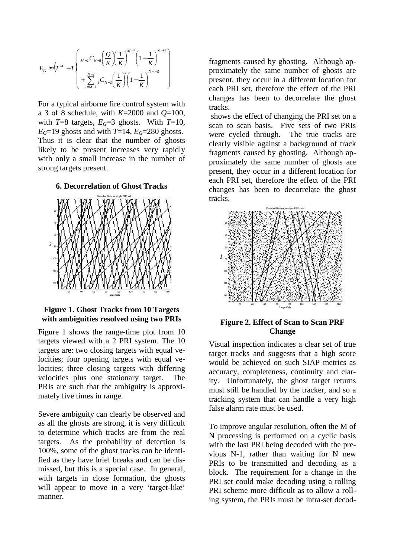$$
E_G \approx \left(T^M - T\left(\frac{M_{-2}C_{N-2}\left(\frac{Q}{K}\right)\left(\frac{1}{K}\right)^{M-2}\left(1 - \frac{1}{K}\right)^{N-M}\right) + \sum_{i=M-1}^{N-2} {}_{i}C_{N-2}\left(\frac{1}{K}\right)^{i}\left(1 - \frac{1}{K}\right)^{N-i-2}\right)
$$

For a typical airborne fire control system with a 3 of 8 schedule, with *K*=2000 and *Q*=100, with  $T=8$  targets,  $E_G=3$  ghosts. With  $T=10$ ,  $E$ <sup>*G*=19</sup> ghosts and with *T*=14,  $E$ <sup>*G*=280</sup> ghosts. Thus it is clear that the number of ghosts likely to be present increases very rapidly with only a small increase in the number of strong targets present.

**6. Decorrelation of Ghost Tracks** 



#### **Figure 1. Ghost Tracks from 10 Targets with ambiguities resolved using two PRIs**

Figure 1 shows the range-time plot from 10 targets viewed with a 2 PRI system. The 10 targets are: two closing targets with equal velocities; four opening targets with equal velocities; three closing targets with differing velocities plus one stationary target. The PRIs are such that the ambiguity is approximately five times in range.

Severe ambiguity can clearly be observed and as all the ghosts are strong, it is very difficult to determine which tracks are from the real targets. As the probability of detection is 100%, some of the ghost tracks can be identified as they have brief breaks and can be dismissed, but this is a special case. In general, with targets in close formation, the ghosts will appear to move in a very 'target-like' manner.

fragments caused by ghosting. Although approximately the same number of ghosts are present, they occur in a different location for each PRI set, therefore the effect of the PRI changes has been to decorrelate the ghost tracks.

 shows the effect of changing the PRI set on a scan to scan basis. Five sets of two PRIs were cycled through. The true tracks are clearly visible against a background of track fragments caused by ghosting. Although approximately the same number of ghosts are present, they occur in a different location for each PRI set, therefore the effect of the PRI changes has been to decorrelate the ghost tracks.



## **Figure 2. Effect of Scan to Scan PRF Change**

Visual inspection indicates a clear set of true target tracks and suggests that a high score would be achieved on such SIAP metrics as accuracy, completeness, continuity and clarity. Unfortunately, the ghost target returns must still be handled by the tracker, and so a tracking system that can handle a very high false alarm rate must be used.

To improve angular resolution, often the M of N processing is performed on a cyclic basis with the last PRI being decoded with the previous N-1, rather than waiting for N new PRIs to be transmitted and decoding as a block. The requirement for a change in the PRI set could make decoding using a rolling PRI scheme more difficult as to allow a rolling system, the PRIs must be intra-set decod